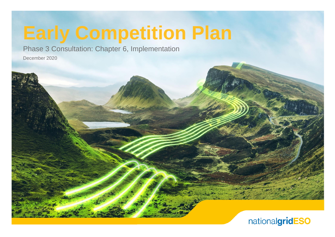# **Early Competition Plan**

Phase 3 Consultation: Chapter 6, Implementation

December 2020

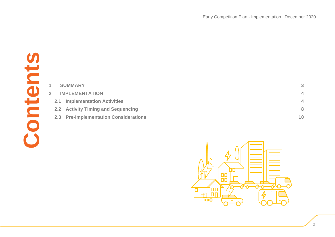

| 1              | <b>SUMMARY</b>                           | 3                        |
|----------------|------------------------------------------|--------------------------|
| $\overline{2}$ | <b>IMPLEMENTATION</b>                    | 4                        |
| 2.1            | <b>Implementation Activities</b>         | $\overline{\mathcal{A}}$ |
| 2.2            | <b>Activity Timing and Sequencing</b>    | 8                        |
| 2.3            | <b>Pre-Implementation Considerations</b> | 10                       |
|                |                                          |                          |
|                |                                          |                          |
|                |                                          |                          |
|                |                                          |                          |

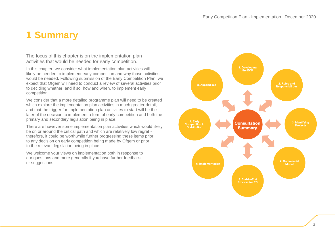# <span id="page-2-0"></span>**1 Summary**

The focus of this chapter is on the implementation plan activities that would be needed for early competition.

In this chapter, we consider what implementation plan activities will likely be needed to implement early competition and why those activities would be needed. Following submission of the Early Competition Plan, we expect that Ofgem will need to conduct a review of several activities prior to deciding whether, and if so, how and when, to implement early competition.

We consider that a more detailed programme plan will need to be created which explore the implementation plan activities in much greater detail, and that the trigger for implementation plan activities to start will be the later of the decision to implement a form of early competition and both the primary and secondary legislation being in place.

There are however some implementation plan activities which would likely be on or around the critical path and which are relatively low regret therefore, it could be worthwhile further progressing these items prior to any decision on early competition being made by Ofgem or prior to the relevant legislation being in place.

We welcome your views on implementation both in response to our questions and more generally if you have further feedback or suggestions.

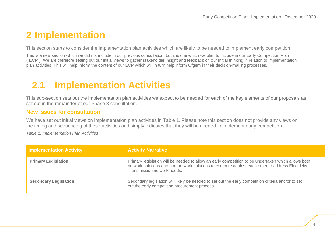# <span id="page-3-0"></span>**2 Implementation**

This section starts to consider the implementation plan activities which are likely to be needed to implement early competition.

This is a new section which we did not include in our previous consultation, but it is one which we plan to include in our Early Competition Plan ("ECP"). We are therefore setting out our initial views to gather stakeholder insight and feedback on our initial thinking in relation to implementation plan activities. This will help inform the content of our ECP which will in turn help inform Ofgem in their decision-making processes.

# <span id="page-3-1"></span>**2.1 Implementation Activities**

This sub-section sets out the implementation plan activities we expect to be needed for each of the key elements of our proposals as set out in the remainder of our Phase 3 consultation.

# **New issues for consultation**

We have set out initial views on implementation plan activities in [Table 1.](#page-3-2) Please note this section does not provide any views on the timing and sequencing of these activities and simply indicates that they will be needed to implement early competition.

<span id="page-3-2"></span>*Table 1: Implementation Plan Activities*

| <b>Implementation Activity</b> | <b>Activity Narrative</b>                                                                                                                                                                                                              |
|--------------------------------|----------------------------------------------------------------------------------------------------------------------------------------------------------------------------------------------------------------------------------------|
| <b>Primary Legislation</b>     | Primary legislation will be needed to allow an early competition to be undertaken which allows both<br>network solutions and non-network solutions to compete against each other to address Electricity<br>Transmission network needs. |
| <b>Secondary Legislation</b>   | Secondary legislation will likely be needed to set out the early competition criteria and/or to set<br>out the early competition procurement process.                                                                                  |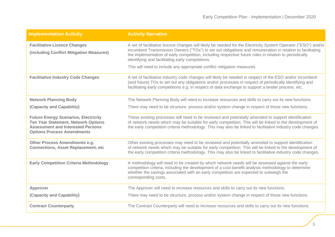| <b>Implementation Activity</b>                                                                                                                                             | <b>Activity Narrative</b>                                                                                                                                                                                                                                                                                                                                                                 |
|----------------------------------------------------------------------------------------------------------------------------------------------------------------------------|-------------------------------------------------------------------------------------------------------------------------------------------------------------------------------------------------------------------------------------------------------------------------------------------------------------------------------------------------------------------------------------------|
| <b>Facilitative Licence Changes</b><br>(including Conflict Mitigation Measures)                                                                                            | A set of facilitative licence changes will likely be needed for the Electricity System Operator ("ESO") and/or<br>incumbent Transmission Owners ("TOs") to set out obligations and remuneration in relation to facilitating<br>the implementation of early competition, including respective future roles in relation to periodically<br>identifying and facilitating early competitions. |
|                                                                                                                                                                            | This will need to include any appropriate conflict mitigation measures.                                                                                                                                                                                                                                                                                                                   |
| <b>Facilitative Industry Code Changes</b>                                                                                                                                  | A set of facilitative industry code changes will likely be needed in respect of the ESO and/or incumbent<br>(and future) TOs to set out any obligations and/or processes in respect of periodically identifying and<br>facilitating early competitions e.g. in respect of data exchange to support a tender process, etc.                                                                 |
| <b>Network Planning Body</b>                                                                                                                                               | The Network Planning Body will need to increase resources and skills to carry out its new functions.                                                                                                                                                                                                                                                                                      |
| (Capacity and Capability)                                                                                                                                                  | There may need to be structure, process and/or system change in respect of those new functions.                                                                                                                                                                                                                                                                                           |
| <b>Future Energy Scenarios, Electricity</b><br><b>Ten Year Statement, Network Options</b><br><b>Assessment and Interested Persons</b><br><b>Options Process Amendments</b> | These existing processes will need to be reviewed and potentially amended to support identification<br>of network needs which may be suitable for early competition. This will be linked to the development of<br>the early competition criteria methodology. This may also be linked to facilitative industry code changes.                                                              |
| Other Process Amendments e.g.<br><b>Connections, Asset Replacement, etc</b>                                                                                                | Other existing processes may need to be reviewed and potentially amended to support identification<br>of network needs which may be suitable for early competition. This will be linked to the development of<br>the early competition criteria methodology. This may also be linked to facilitative industry code changes.                                                               |
| <b>Early Competition Criteria Methodology</b>                                                                                                                              | A methodology will need to be created by which network needs will be assessed against the early<br>competition criteria, including the development of a cost-benefit analysis methodology to determine<br>whether the savings associated with an early competition are expected to outweigh the<br>corresponding costs.                                                                   |
| Approver                                                                                                                                                                   | The Approver will need to increase resources and skills to carry out its new functions.                                                                                                                                                                                                                                                                                                   |
| (Capacity and Capability)                                                                                                                                                  | There may need to be structure, process and/or system change in respect of those new functions.                                                                                                                                                                                                                                                                                           |
| <b>Contract Counterparty</b>                                                                                                                                               | The Contract Counterparty will need to increase resources and skills to carry out its new functions.                                                                                                                                                                                                                                                                                      |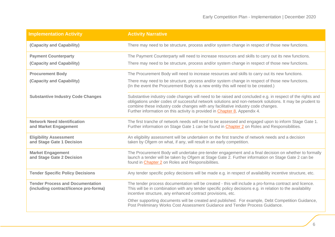| <b>Implementation Activity</b>                                                    | <b>Activity Narrative</b>                                                                                                                                                                                                                                                                                                                                                                     |
|-----------------------------------------------------------------------------------|-----------------------------------------------------------------------------------------------------------------------------------------------------------------------------------------------------------------------------------------------------------------------------------------------------------------------------------------------------------------------------------------------|
| (Capacity and Capability)                                                         | There may need to be structure, process and/or system change in respect of those new functions.                                                                                                                                                                                                                                                                                               |
| <b>Payment Counterparty</b>                                                       | The Payment Counterparty will need to increase resources and skills to carry out its new functions.                                                                                                                                                                                                                                                                                           |
| (Capacity and Capability)                                                         | There may need to be structure, process and/or system change in respect of those new functions.                                                                                                                                                                                                                                                                                               |
| <b>Procurement Body</b>                                                           | The Procurement Body will need to increase resources and skills to carry out its new functions.                                                                                                                                                                                                                                                                                               |
| (Capacity and Capability)                                                         | There may need to be structure, process and/or system change in respect of those new functions.<br>(In the event the Procurement Body is a new entity this will need to be created.)                                                                                                                                                                                                          |
| <b>Substantive Industry Code Changes</b>                                          | Substantive industry code changes will need to be raised and concluded e.g. in respect of the rights and<br>obligations under codes of successful network solutions and non-network solutions. It may be prudent to<br>combine these industry code changes with any facilitative industry code changes.<br>Further information on this activity is provided in <b>Chapter 8</b> , Appendix 4. |
| <b>Network Need Identification</b><br>and Market Engagement                       | The first tranche of network needs will need to be assessed and engaged upon to inform Stage Gate 1.<br>Further information on Stage Gate 1 can be found in <b>Chapter 2</b> on Roles and Responsibilities.                                                                                                                                                                                   |
| <b>Eligibility Assessment</b><br>and Stage Gate 1 Decision                        | An eligibility assessment will be undertaken on the first tranche of network needs and a decision<br>taken by Ofgem on what, if any, will result in an early competition.                                                                                                                                                                                                                     |
| <b>Market Engagement</b><br>and Stage Gate 2 Decision                             | The Procurement Body will undertake pre-tender engagement and a final decision on whether to formally<br>launch a tender will be taken by Ofgem at Stage Gate 2. Further information on Stage Gate 2 can be<br>found in <b>Chapter 2</b> on Roles and Responsibilities.                                                                                                                       |
| <b>Tender Specific Policy Decisions</b>                                           | Any tender specific policy decisions will be made e.g. in respect of availability incentive structure, etc.                                                                                                                                                                                                                                                                                   |
| <b>Tender Process and Documentation</b><br>(including contract/licence pro-forma) | The tender process documentation will be created - this will include a pro-forma contract and licence.<br>This will be in combination with any tender specific policy decisions e.g. in relation to the availability<br>incentive structure, any enhanced contract provisions, etc.                                                                                                           |
|                                                                                   | Other supporting documents will be created and published. For example, Debt Competition Guidance,<br>Post Preliminary Works Cost Assessment Guidance and Tender Process Guidance.                                                                                                                                                                                                             |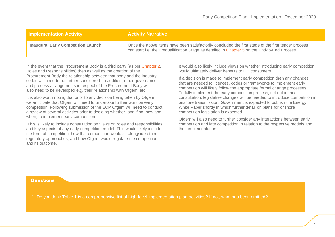## **Implementation Activity Activity Activity Narrative**

**Inaugural Early Competition Launch** Once the above items have been satisfactorily concluded the first stage of the first tender process can start i.e. the Prequalification Stage as detailed in [Chapter 5](https://www.nationalgrideso.com/document/181926/download) on the End-to-End Process.

In the event that the Procurement Body is a third party (as per [Chapter 2,](https://www.nationalgrideso.com/document/181911/download) Roles and Responsibilities) then as well as the creation of the Procurement Body the relationship between that body and the industry codes will need to be further considered. In addition, other governance and process arrangements in respect of the Procurement Body will also need to be developed e.g. their relationship with Ofgem, etc.

It is also worth noting that prior to any decision being taken by Ofgem we anticipate that Ofgem will need to undertake further work on early competition. Following submission of the ECP Ofgem will need to conduct a review of several activities prior to deciding whether, and if so, how and when, to implement early competition.

This is likely to include consultation on views on roles and responsibilities and key aspects of any early competition model. This would likely include the form of competition, how that competition would sit alongside other regulatory approaches, and how Ofgem would regulate the competition and its outcome.

It would also likely include views on whether introducing early competition would ultimately deliver benefits to GB consumers.

If a decision is made to implement early competition then any changes that are needed to licences, codes or frameworks to implement early competition will likely follow the appropriate formal change processes. To fully implement the early competition process, set out in this consultation, legislative changes will be needed to introduce competition in onshore transmission. Government is expected to publish the Energy White Paper shortly in which further detail on plans for onshore competition legislation is expected.

Ofgem will also need to further consider any interactions between early competition and late competition in relation to the respective models and their implementation.

**Questions** 

1. 1. Do you think Table 1 is a comprehensive list of high-level implementation plan activities? If not, what has been omitted?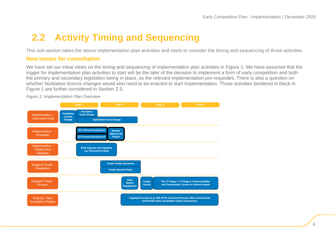# <span id="page-7-0"></span>**2.2 Activity Timing and Sequencing**

This sub-section takes the above implementation plan activities and starts to consider the timing and sequencing of those activities.

# **New issues for consultation**

We have set our initial views on the timing and sequencing of implementation plan activities in Figure 1. We have assumed that the trigger for implementation plan activities to start will be the later of the decision to implement a form of early competition and both the primary and secondary legislation being in place, as the relevant implementation pre-requisites. There is also a question on whether facilitative licence changes would also need to be enacted to start implementation. Those activities bordered in black in Figure 1 are further considered in Section 2.3.



*Figure 1: Implementation Plan Overview*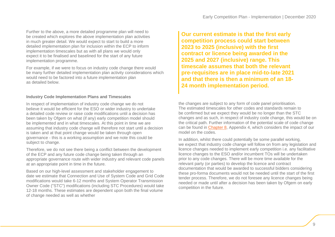Further to the above, a more detailed programme plan will need to be created which explores the above implementation plan activities in much greater detail. We would expect to start to build a more detailed implementation plan for inclusion within the ECP to inform implementation timescales but as with all plans we would only expect it to be finalised and baselined for the start of any future implementation programme.

For example, if we were to focus on industry code change there would be many further detailed implementation plan activity considerations which would need to be factored into a future implementation plan as detailed below.

### **Industry Code Implementation Plans and Timescales**

In respect of implementation of industry code change we do not believe it would be efficient for the ESO or wider industry to undertake a detailed code review or raise code modifications until a decision has been taken by Ofgem on what (if any) early competition model should be implemented and in what timescales. At this point in time we are assuming that industry code change will therefore not start until a decision is taken and at that point change would be taken through open governance - this is a working assumption and we note this could be subject to change.

Therefore, we do not see there being a conflict between the development of the ECP and any future code change being taken through an appropriate governance route with wider industry and relevant code panels at an appropriate point in time in the future.

Based on our high-level assessment and stakeholder engagement to date we estimate that Connection and Use of System Code and Grid Code modifications would take 6-12 months and System Operator Transmission Owner Code ("STC") modifications (including STC Procedures) would take 12-18 months. These estimates are dependent upon both the final volume of change needed as well as whether

**Our current estimate is that the first early competition process could start between 2023 to 2025 (inclusive) with the first contract or licence being awarded in the 2025 and 2027 (inclusive) range. This timescale assumes that both the relevant pre-requisites are in place mid-to-late 2021 and that there is then a minimum of an 18- 24 month implementation period.**

the changes are subject to any form of code panel prioritisation. The estimated timescales for other codes and standards remain to be confirmed but we expect they would be no longer than the STC changes and as such, in respect of industry code change, this would be on the critical path. Further information of the potential scale of code change can be found in [Chapter 8,](https://www.nationalgrideso.com/document/181941/download) Appendix 4, which considers the impact of our model on the codes.

In addition, whilst there could potentially be some parallel working, we expect that industry code change will follow on from any legislation and licence changes needed to implement early competition i.e. any facilitative licence changes to the ESO and/or incumbent TOs will be undertaken prior to any code changes. There will be more time available for the relevant party (or parties) to develop the licence and contract documentation that would be awarded to successful bidders considering these pro-forma documents would not be needed until the start of the first tender process. Therefore, we do not foresee any licence changes being needed or made until after a decision has been taken by Ofgem on early competition in the future.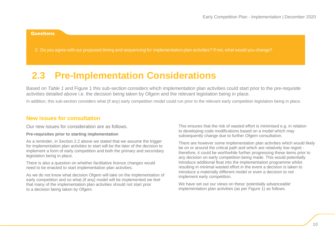#### **Questions**

2. Do you agree with our proposed timing and sequencing for implementation plan activities? If not, what would you change?

# <span id="page-9-0"></span>**2.3 Pre-Implementation Considerations**

Based on *[Table 1](#page-3-2)* and Figure 1 this sub-section considers which implementation plan activities could start prior to the pre-requisite activities detailed above i.e. the decision being taken by Ofgem and the relevant legislation being in place.

In addition, this sub-section considers what (if any) early competition model could run prior to the relevant early competition legislation being in place.

### **New issues for consultation**

Our new issues for consideration are as follows.

#### **Pre-requisites prior to starting implementation**

As a reminder, in Section [2.2](#page-7-0) above we stated that we assume the trigger for implementation plan activities to start will be the later of the decision to implement a form of early competition and both the primary and secondary legislation being in place.

There is also a question on whether facilitative licence changes would need to be enacted to start implementation plan activities.

As we do not know what decision Ofgem will take on the implementation of early competition and so what (if any) model will be implemented we feel that many of the implementation plan activities should not start prior to a decision being taken by Ofgem.

This ensures that the risk of wasted effort is minimised e.g. in relation to developing code modifications based on a model which may subsequently change due to further Ofgem consultation.

There are however some implementation plan activities which would likely be on or around the critical path and which are relatively low regret therefore, it could be worthwhile further progressing these items prior to any decision on early competition being made. This would potentially introduce additional float into the implementation programme whilst resulting in minimal wasted effort in the event a decision is taken to introduce a materially different model or even a decision to not implement early competition.

We have set out our views on these 'potentially advanceable' implementation plan activities (as per Figure 1) as follows.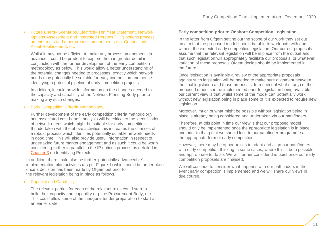### • Future Energy Scenarios, Electricity Ten Year Statement, Network Options Assessment and Interested Persons ("IP") options process amendments and other process amendments e.g. Connections, Asset Replacement, etc

Whilst it may not be efficient to make any process amendments in advance it could be prudent to explore them in greater detail in conjunction with the further development of the early competition methodology as below. This would allow a better understanding of the potential changes needed to processes, exactly which network needs may potentially be suitable for early competition and hence identifying a potential pipeline of early competition projects.

In addition, it could provide information on the changes needed to the capacity and capability of the Network Planning Body prior to making any such changes.

#### **Early Competition Criteria Methodology**

Further development of the early competition criteria methodology and associated cost-benefit analysis will be critical to the identification of network needs which might be suitable for early competition. If undertaken with the above activities this increases the chances of a robust process which identifies potentially suitable network needs in good time. This will also provide useful information in respect of undertaking future market engagement and as such it could be worth considering further in parallel to the IP options process as detailed in [Chapter 3](https://www.nationalgrideso.com/document/181916/download) on Identifying Projects.

In addition, there could also be further 'potentially advanceable' implementation plan activities (as per Figure 1) which could be undertaken once a decision has been made by Ofgem but prior to the relevant legislation being in place as follows.

### • Capacity and Capability

The relevant parties for each of the relevant roles could start to build their capacity and capability e.g. the Procurement Body, etc. This could allow some of the inaugural tender preparation to start at an earlier date.

#### **Early competition prior to Onshore Competition Legislation**

In the letter from Ofgem setting out the scope of our work they set out an aim that the proposed model should be able to work both with and without the expected early competition legislation. Our current proposals assume that the relevant legislation will be in place from the outset and that such legislation will appropriately facilitate our proposals, or whatever variation of these proposals Ofgem decide should be implemented in the future.

Once legislation is available a review of the appropriate proposals against such legislation will be needed to make sure alignment between the final legislation and those proposals. In respect of what (if any) of the proposed model can be implemented prior to legislation being available, our current view is that whilst some of the model can potentially work without new legislation being in place some of it is expected to require new legislation.

Moreover, much of what might be possible without legislation being in place is already being considered and undertaken via our pathfinders.

Therefore, at this point in time our view is that our proposed model should only be implemented once the appropriate legislation is in place and prior to that point we should look to our pathfinder programme as the appropriate form of early competition.

However, there may be opportunities to adapt and align our pathfinders with early competition thinking in some cases, where this is both possible and appropriate to do so. We will further consider this point once our early competition proposals are finalised.

We will continue to consider what happens with our pathfinders in the event early competition is implemented and we will share our views in due course.